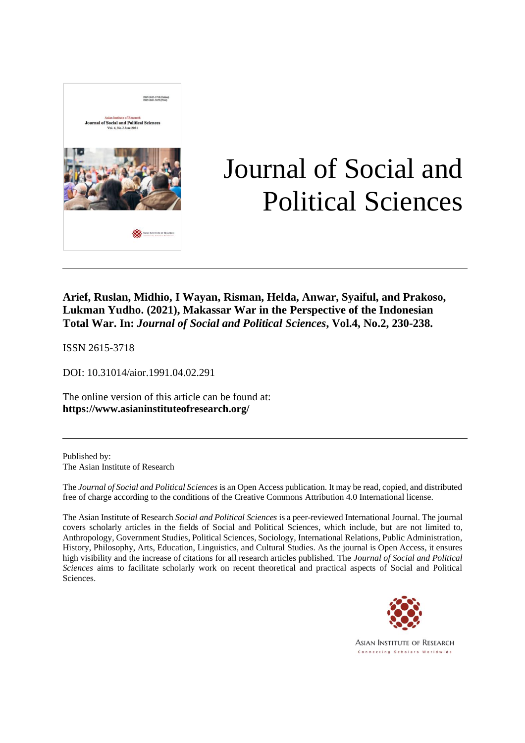

# Journal of Social and Political Sciences

**Arief, Ruslan, Midhio, I Wayan, Risman, Helda, Anwar, Syaiful, and Prakoso, Lukman Yudho. (2021), Makassar War in the Perspective of the Indonesian Total War. In:** *Journal of Social and Political Sciences***, Vol.4, No.2, 230-238.**

ISSN 2615-3718

DOI: 10.31014/aior.1991.04.02.291

The online version of this article can be found at: **https://www.asianinstituteofresearch.org/**

Published by: The Asian Institute of Research

The *Journal of Social and Political Sciences* is an Open Access publication. It may be read, copied, and distributed free of charge according to the conditions of the Creative Commons Attribution 4.0 International license.

The Asian Institute of Research *Social and Political Sciences* is a peer-reviewed International Journal. The journal covers scholarly articles in the fields of Social and Political Sciences, which include, but are not limited to, Anthropology, Government Studies, Political Sciences, Sociology, International Relations, Public Administration, History, Philosophy, Arts, Education, Linguistics, and Cultural Studies. As the journal is Open Access, it ensures high visibility and the increase of citations for all research articles published. The *Journal of Social and Political Sciences* aims to facilitate scholarly work on recent theoretical and practical aspects of Social and Political Sciences.



**ASIAN INSTITUTE OF RESEARCH** Connecting Scholars Worldwide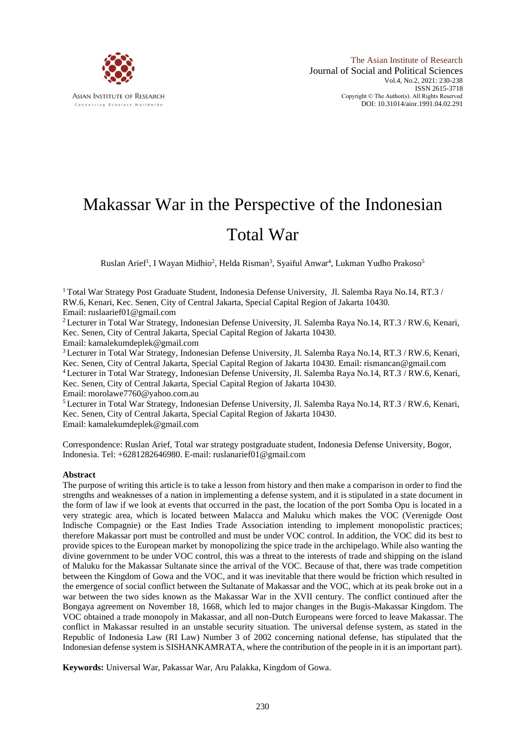

# Makassar War in the Perspective of the Indonesian Total War

Ruslan Arief<sup>1</sup>, I Wayan Midhio<sup>2</sup>, Helda Risman<sup>3</sup>, Syaiful Anwar<sup>4</sup>, Lukman Yudho Prakoso<sup>5</sup>

<sup>1</sup> Total War Strategy Post Graduate Student, Indonesia Defense University, Jl. Salemba Raya No.14, RT.3/ RW.6, Kenari, Kec. Senen, City of Central Jakarta, Special Capital Region of Jakarta 10430. Email: ruslaarief01@gmail.com

<sup>2</sup>Lecturer in Total War Strategy, Indonesian Defense University, Jl. Salemba Raya No.14, RT.3 / RW.6, Kenari, Kec. Senen, City of Central Jakarta, Special Capital Region of Jakarta 10430.

Email: kamalekumdeplek@gmail.com

<sup>3</sup> Lecturer in Total War Strategy, Indonesian Defense University, Jl. Salemba Raya No.14, RT.3 / RW.6, Kenari, Kec. Senen, City of Central Jakarta, Special Capital Region of Jakarta 10430. Email: rismancan@gmail.com <sup>4</sup> Lecturer in Total War Strategy, Indonesian Defense University, Jl. Salemba Raya No.14, RT.3 / RW.6, Kenari, Kec. Senen, City of Central Jakarta, Special Capital Region of Jakarta 10430. Email: morolawe7760@yahoo.com.au

<sup>5</sup> Lecturer in Total War Strategy, Indonesian Defense University, Jl. Salemba Raya No.14, RT.3 / RW.6, Kenari, Kec. Senen, City of Central Jakarta, Special Capital Region of Jakarta 10430. Email: kamalekumdeplek@gmail.com

Correspondence: Ruslan Arief, Total war strategy postgraduate student, Indonesia Defense University, Bogor, Indonesia. Tel: +6281282646980. E-mail: ruslanarief01@gmail.com

# **Abstract**

The purpose of writing this article is to take a lesson from history and then make a comparison in order to find the strengths and weaknesses of a nation in implementing a defense system, and it is stipulated in a state document in the form of law if we look at events that occurred in the past, the location of the port Somba Opu is located in a very strategic area, which is located between Malacca and Maluku which makes the VOC (Verenigde Oost Indische Compagnie) or the East Indies Trade Association intending to implement monopolistic practices; therefore Makassar port must be controlled and must be under VOC control. In addition, the VOC did its best to provide spices to the European market by monopolizing the spice trade in the archipelago. While also wanting the divine government to be under VOC control, this was a threat to the interests of trade and shipping on the island of Maluku for the Makassar Sultanate since the arrival of the VOC. Because of that, there was trade competition between the Kingdom of Gowa and the VOC, and it was inevitable that there would be friction which resulted in the emergence of social conflict between the Sultanate of Makassar and the VOC, which at its peak broke out in a war between the two sides known as the Makassar War in the XVII century. The conflict continued after the Bongaya agreement on November 18, 1668, which led to major changes in the Bugis-Makassar Kingdom. The VOC obtained a trade monopoly in Makassar, and all non-Dutch Europeans were forced to leave Makassar. The conflict in Makassar resulted in an unstable security situation. The universal defense system, as stated in the Republic of Indonesia Law (RI Law) Number 3 of 2002 concerning national defense, has stipulated that the Indonesian defense system is SISHANKAMRATA, where the contribution of the people in it is an important part).

**Keywords:** Universal War, Pakassar War, Aru Palakka, Kingdom of Gowa.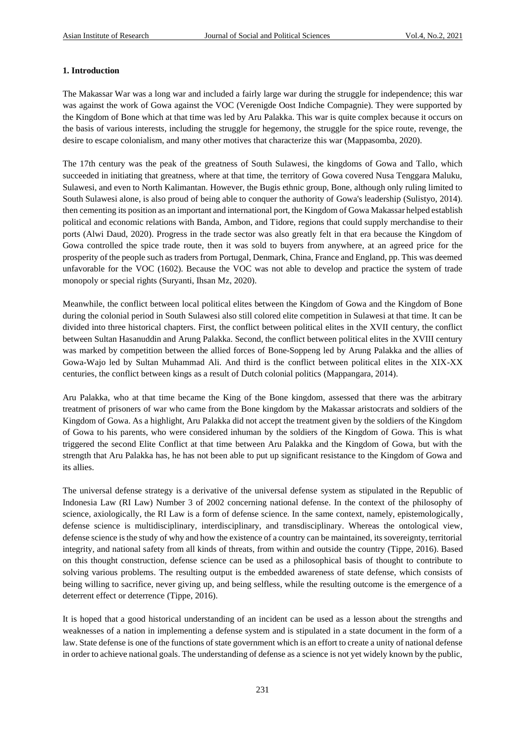# **1. Introduction**

The Makassar War was a long war and included a fairly large war during the struggle for independence; this war was against the work of Gowa against the VOC (Verenigde Oost Indiche Compagnie). They were supported by the Kingdom of Bone which at that time was led by Aru Palakka. This war is quite complex because it occurs on the basis of various interests, including the struggle for hegemony, the struggle for the spice route, revenge, the desire to escape colonialism, and many other motives that characterize this war (Mappasomba, 2020).

The 17th century was the peak of the greatness of South Sulawesi, the kingdoms of Gowa and Tallo, which succeeded in initiating that greatness, where at that time, the territory of Gowa covered Nusa Tenggara Maluku, Sulawesi, and even to North Kalimantan. However, the Bugis ethnic group, Bone, although only ruling limited to South Sulawesi alone, is also proud of being able to conquer the authority of Gowa's leadership (Sulistyo, 2014). then cementing its position as an important and international port, the Kingdom of Gowa Makassar helped establish political and economic relations with Banda, Ambon, and Tidore, regions that could supply merchandise to their ports (Alwi Daud, 2020). Progress in the trade sector was also greatly felt in that era because the Kingdom of Gowa controlled the spice trade route, then it was sold to buyers from anywhere, at an agreed price for the prosperity of the people such as traders from Portugal, Denmark, China, France and England, pp. This was deemed unfavorable for the VOC (1602). Because the VOC was not able to develop and practice the system of trade monopoly or special rights (Suryanti, Ihsan Mz, 2020).

Meanwhile, the conflict between local political elites between the Kingdom of Gowa and the Kingdom of Bone during the colonial period in South Sulawesi also still colored elite competition in Sulawesi at that time. It can be divided into three historical chapters. First, the conflict between political elites in the XVII century, the conflict between Sultan Hasanuddin and Arung Palakka. Second, the conflict between political elites in the XVIII century was marked by competition between the allied forces of Bone-Soppeng led by Arung Palakka and the allies of Gowa-Wajo led by Sultan Muhammad Ali. And third is the conflict between political elites in the XIX-XX centuries, the conflict between kings as a result of Dutch colonial politics (Mappangara, 2014).

Aru Palakka, who at that time became the King of the Bone kingdom, assessed that there was the arbitrary treatment of prisoners of war who came from the Bone kingdom by the Makassar aristocrats and soldiers of the Kingdom of Gowa. As a highlight, Aru Palakka did not accept the treatment given by the soldiers of the Kingdom of Gowa to his parents, who were considered inhuman by the soldiers of the Kingdom of Gowa. This is what triggered the second Elite Conflict at that time between Aru Palakka and the Kingdom of Gowa, but with the strength that Aru Palakka has, he has not been able to put up significant resistance to the Kingdom of Gowa and its allies.

The universal defense strategy is a derivative of the universal defense system as stipulated in the Republic of Indonesia Law (RI Law) Number 3 of 2002 concerning national defense. In the context of the philosophy of science, axiologically, the RI Law is a form of defense science. In the same context, namely, epistemologically, defense science is multidisciplinary, interdisciplinary, and transdisciplinary. Whereas the ontological view, defense science is the study of why and how the existence of a country can be maintained, its sovereignty, territorial integrity, and national safety from all kinds of threats, from within and outside the country (Tippe, 2016). Based on this thought construction, defense science can be used as a philosophical basis of thought to contribute to solving various problems. The resulting output is the embedded awareness of state defense, which consists of being willing to sacrifice, never giving up, and being selfless, while the resulting outcome is the emergence of a deterrent effect or deterrence (Tippe, 2016).

It is hoped that a good historical understanding of an incident can be used as a lesson about the strengths and weaknesses of a nation in implementing a defense system and is stipulated in a state document in the form of a law. State defense is one of the functions of state government which is an effort to create a unity of national defense in order to achieve national goals. The understanding of defense as a science is not yet widely known by the public,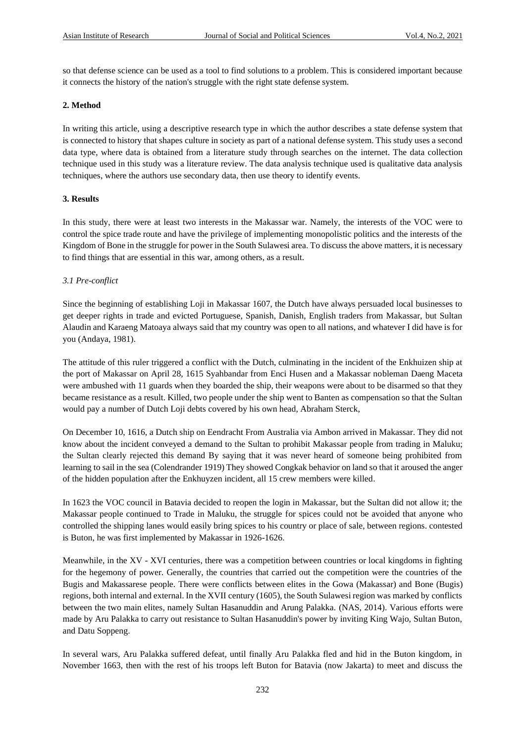so that defense science can be used as a tool to find solutions to a problem. This is considered important because it connects the history of the nation's struggle with the right state defense system.

## **2. Method**

In writing this article, using a descriptive research type in which the author describes a state defense system that is connected to history that shapes culture in society as part of a national defense system. This study uses a second data type, where data is obtained from a literature study through searches on the internet. The data collection technique used in this study was a literature review. The data analysis technique used is qualitative data analysis techniques, where the authors use secondary data, then use theory to identify events.

# **3. Results**

In this study, there were at least two interests in the Makassar war. Namely, the interests of the VOC were to control the spice trade route and have the privilege of implementing monopolistic politics and the interests of the Kingdom of Bone in the struggle for power in the South Sulawesi area. To discuss the above matters, it is necessary to find things that are essential in this war, among others, as a result.

# *3.1 Pre-conflict*

Since the beginning of establishing Loji in Makassar 1607, the Dutch have always persuaded local businesses to get deeper rights in trade and evicted Portuguese, Spanish, Danish, English traders from Makassar, but Sultan Alaudin and Karaeng Matoaya always said that my country was open to all nations, and whatever I did have is for you (Andaya, 1981).

The attitude of this ruler triggered a conflict with the Dutch, culminating in the incident of the Enkhuizen ship at the port of Makassar on April 28, 1615 Syahbandar from Enci Husen and a Makassar nobleman Daeng Maceta were ambushed with 11 guards when they boarded the ship, their weapons were about to be disarmed so that they became resistance as a result. Killed, two people under the ship went to Banten as compensation so that the Sultan would pay a number of Dutch Loji debts covered by his own head, Abraham Sterck,

On December 10, 1616, a Dutch ship on Eendracht From Australia via Ambon arrived in Makassar. They did not know about the incident conveyed a demand to the Sultan to prohibit Makassar people from trading in Maluku; the Sultan clearly rejected this demand By saying that it was never heard of someone being prohibited from learning to sail in the sea (Colendrander 1919) They showed Congkak behavior on land so that it aroused the anger of the hidden population after the Enkhuyzen incident, all 15 crew members were killed.

In 1623 the VOC council in Batavia decided to reopen the login in Makassar, but the Sultan did not allow it; the Makassar people continued to Trade in Maluku, the struggle for spices could not be avoided that anyone who controlled the shipping lanes would easily bring spices to his country or place of sale, between regions. contested is Buton, he was first implemented by Makassar in 1926-1626.

Meanwhile, in the XV - XVI centuries, there was a competition between countries or local kingdoms in fighting for the hegemony of power. Generally, the countries that carried out the competition were the countries of the Bugis and Makassarese people. There were conflicts between elites in the Gowa (Makassar) and Bone (Bugis) regions, both internal and external. In the XVII century (1605), the South Sulawesi region was marked by conflicts between the two main elites, namely Sultan Hasanuddin and Arung Palakka. (NAS, 2014). Various efforts were made by Aru Palakka to carry out resistance to Sultan Hasanuddin's power by inviting King Wajo, Sultan Buton, and Datu Soppeng.

In several wars, Aru Palakka suffered defeat, until finally Aru Palakka fled and hid in the Buton kingdom, in November 1663, then with the rest of his troops left Buton for Batavia (now Jakarta) to meet and discuss the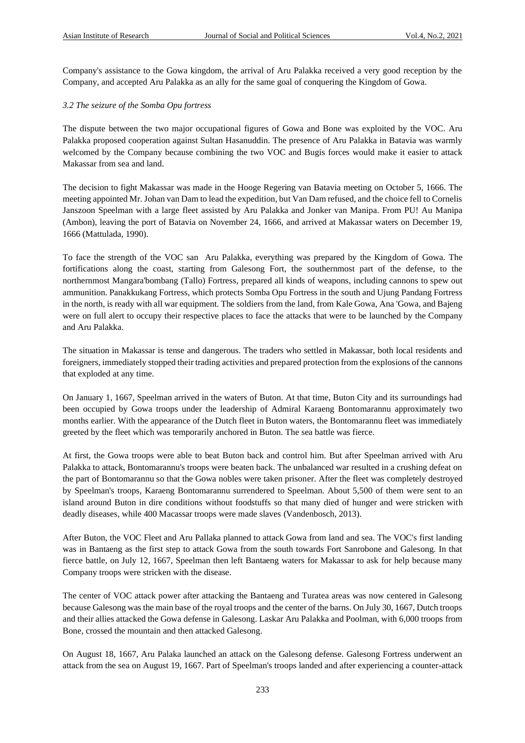Company's assistance to the Gowa kingdom, the arrival of Aru Palakka received a very good reception by the Company, and accepted Aru Palakka as an ally for the same goal of conquering the Kingdom of Gowa.

# *3.2 The seizure of the Somba Opu fortress*

The dispute between the two major occupational figures of Gowa and Bone was exploited by the VOC. Aru Palakka proposed cooperation against Sultan Hasanuddin. The presence of Aru Palakka in Batavia was warmly welcomed by the Company because combining the two VOC and Bugis forces would make it easier to attack Makassar from sea and land.

The decision to fight Makassar was made in the Hooge Regering van Batavia meeting on October 5, 1666. The meeting appointed Mr. Johan van Dam to lead the expedition, but Van Dam refused, and the choice fell to Cornelis Janszoon Speelman with a large fleet assisted by Aru Palakka and Jonker van Manipa. From PU! Au Manipa (Ambon), leaving the port of Batavia on November 24, 1666, and arrived at Makassar waters on December 19, 1666 (Mattulada, 1990).

To face the strength of the VOC san Aru Palakka, everything was prepared by the Kingdom of Gowa. The fortifications along the coast, starting from Galesong Fort, the southernmost part of the defense, to the northernmost Mangara'bombang (Tallo) Fortress, prepared all kinds of weapons, including cannons to spew out ammunition. Panakkukang Fortress, which protects Somba Opu Fortress in the south and Ujung Pandang Fortress in the north, is ready with all war equipment. The soldiers from the land, from Kale Gowa, Ana 'Gowa, and Bajeng were on full alert to occupy their respective places to face the attacks that were to be launched by the Company and Aru Palakka.

The situation in Makassar is tense and dangerous. The traders who settled in Makassar, both local residents and foreigners, immediately stopped their trading activities and prepared protection from the explosions of the cannons that exploded at any time.

On January 1, 1667, Speelman arrived in the waters of Buton. At that time, Buton City and its surroundings had been occupied by Gowa troops under the leadership of Admiral Karaeng Bontomarannu approximately two months earlier. With the appearance of the Dutch fleet in Buton waters, the Bontomarannu fleet was immediately greeted by the fleet which was temporarily anchored in Buton. The sea battle was fierce.

At first, the Gowa troops were able to beat Buton back and control him. But after Speelman arrived with Aru Palakka to attack, Bontomarannu's troops were beaten back. The unbalanced war resulted in a crushing defeat on the part of Bontomarannu so that the Gowa nobles were taken prisoner. After the fleet was completely destroyed by Speelman's troops, Karaeng Bontomarannu surrendered to Speelman. About 5,500 of them were sent to an island around Buton in dire conditions without foodstuffs so that many died of hunger and were stricken with deadly diseases, while 400 Macassar troops were made slaves (Vandenbosch, 2013).

After Buton, the VOC Fleet and Aru Pallaka planned to attack Gowa from land and sea. The VOC's first landing was in Bantaeng as the first step to attack Gowa from the south towards Fort Sanrobone and Galesong. In that fierce battle, on July 12, 1667, Speelman then left Bantaeng waters for Makassar to ask for help because many Company troops were stricken with the disease.

The center of VOC attack power after attacking the Bantaeng and Turatea areas was now centered in Galesong because Galesong was the main base of the royal troops and the center of the barns. On July 30, 1667, Dutch troops and their allies attacked the Gowa defense in Galesong. Laskar Aru Palakka and Poolman, with 6,000 troops from Bone, crossed the mountain and then attacked Galesong.

On August 18, 1667, Aru Palaka launched an attack on the Galesong defense. Galesong Fortress underwent an attack from the sea on August 19, 1667. Part of Speelman's troops landed and after experiencing a counter-attack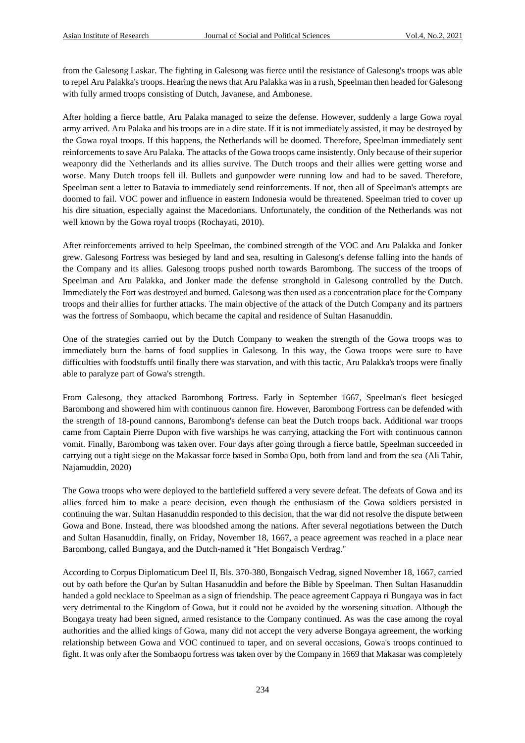from the Galesong Laskar. The fighting in Galesong was fierce until the resistance of Galesong's troops was able to repel Aru Palakka's troops. Hearing the news that Aru Palakka was in a rush, Speelman then headed for Galesong with fully armed troops consisting of Dutch, Javanese, and Ambonese.

After holding a fierce battle, Aru Palaka managed to seize the defense. However, suddenly a large Gowa royal army arrived. Aru Palaka and his troops are in a dire state. If it is not immediately assisted, it may be destroyed by the Gowa royal troops. If this happens, the Netherlands will be doomed. Therefore, Speelman immediately sent reinforcements to save Aru Palaka. The attacks of the Gowa troops came insistently. Only because of their superior weaponry did the Netherlands and its allies survive. The Dutch troops and their allies were getting worse and worse. Many Dutch troops fell ill. Bullets and gunpowder were running low and had to be saved. Therefore, Speelman sent a letter to Batavia to immediately send reinforcements. If not, then all of Speelman's attempts are doomed to fail. VOC power and influence in eastern Indonesia would be threatened. Speelman tried to cover up his dire situation, especially against the Macedonians. Unfortunately, the condition of the Netherlands was not well known by the Gowa royal troops (Rochayati, 2010).

After reinforcements arrived to help Speelman, the combined strength of the VOC and Aru Palakka and Jonker grew. Galesong Fortress was besieged by land and sea, resulting in Galesong's defense falling into the hands of the Company and its allies. Galesong troops pushed north towards Barombong. The success of the troops of Speelman and Aru Palakka, and Jonker made the defense stronghold in Galesong controlled by the Dutch. Immediately the Fort was destroyed and burned. Galesong was then used as a concentration place for the Company troops and their allies for further attacks. The main objective of the attack of the Dutch Company and its partners was the fortress of Sombaopu, which became the capital and residence of Sultan Hasanuddin.

One of the strategies carried out by the Dutch Company to weaken the strength of the Gowa troops was to immediately burn the barns of food supplies in Galesong. In this way, the Gowa troops were sure to have difficulties with foodstuffs until finally there was starvation, and with this tactic, Aru Palakka's troops were finally able to paralyze part of Gowa's strength.

From Galesong, they attacked Barombong Fortress. Early in September 1667, Speelman's fleet besieged Barombong and showered him with continuous cannon fire. However, Barombong Fortress can be defended with the strength of 18-pound cannons, Barombong's defense can beat the Dutch troops back. Additional war troops came from Captain Pierre Dupon with five warships he was carrying, attacking the Fort with continuous cannon vomit. Finally, Barombong was taken over. Four days after going through a fierce battle, Speelman succeeded in carrying out a tight siege on the Makassar force based in Somba Opu, both from land and from the sea (Ali Tahir, Najamuddin, 2020)

The Gowa troops who were deployed to the battlefield suffered a very severe defeat. The defeats of Gowa and its allies forced him to make a peace decision, even though the enthusiasm of the Gowa soldiers persisted in continuing the war. Sultan Hasanuddin responded to this decision, that the war did not resolve the dispute between Gowa and Bone. Instead, there was bloodshed among the nations. After several negotiations between the Dutch and Sultan Hasanuddin, finally, on Friday, November 18, 1667, a peace agreement was reached in a place near Barombong, called Bungaya, and the Dutch-named it "Het Bongaisch Verdrag."

According to Corpus Diplomaticum Deel II, Bls. 370-380, Bongaisch Vedrag, signed November 18, 1667, carried out by oath before the Qur'an by Sultan Hasanuddin and before the Bible by Speelman. Then Sultan Hasanuddin handed a gold necklace to Speelman as a sign of friendship. The peace agreement Cappaya ri Bungaya was in fact very detrimental to the Kingdom of Gowa, but it could not be avoided by the worsening situation. Although the Bongaya treaty had been signed, armed resistance to the Company continued. As was the case among the royal authorities and the allied kings of Gowa, many did not accept the very adverse Bongaya agreement, the working relationship between Gowa and VOC continued to taper, and on several occasions, Gowa's troops continued to fight. It was only after the Sombaopu fortress was taken over by the Company in 1669 that Makasar was completely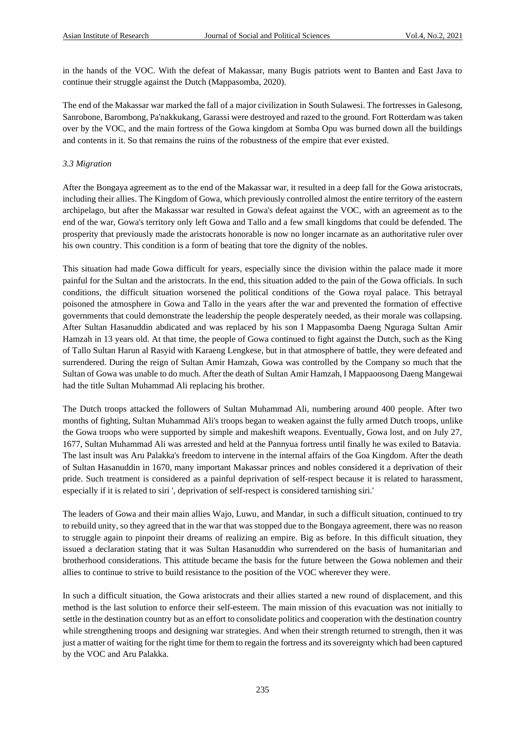in the hands of the VOC. With the defeat of Makassar, many Bugis patriots went to Banten and East Java to continue their struggle against the Dutch (Mappasomba, 2020).

The end of the Makassar war marked the fall of a major civilization in South Sulawesi. The fortresses in Galesong, Sanrobone, Barombong, Pa'nakkukang, Garassi were destroyed and razed to the ground. Fort Rotterdam was taken over by the VOC, and the main fortress of the Gowa kingdom at Somba Opu was burned down all the buildings and contents in it. So that remains the ruins of the robustness of the empire that ever existed.

#### *3.3 Migration*

After the Bongaya agreement as to the end of the Makassar war, it resulted in a deep fall for the Gowa aristocrats, including their allies. The Kingdom of Gowa, which previously controlled almost the entire territory of the eastern archipelago, but after the Makassar war resulted in Gowa's defeat against the VOC, with an agreement as to the end of the war, Gowa's territory only left Gowa and Tallo and a few small kingdoms that could be defended. The prosperity that previously made the aristocrats honorable is now no longer incarnate as an authoritative ruler over his own country. This condition is a form of beating that tore the dignity of the nobles.

This situation had made Gowa difficult for years, especially since the division within the palace made it more painful for the Sultan and the aristocrats. In the end, this situation added to the pain of the Gowa officials. In such conditions, the difficult situation worsened the political conditions of the Gowa royal palace. This betrayal poisoned the atmosphere in Gowa and Tallo in the years after the war and prevented the formation of effective governments that could demonstrate the leadership the people desperately needed, as their morale was collapsing. After Sultan Hasanuddin abdicated and was replaced by his son I Mappasomba Daeng Nguraga Sultan Amir Hamzah in 13 years old. At that time, the people of Gowa continued to fight against the Dutch, such as the King of Tallo Sultan Harun al Rasyid with Karaeng Lengkese, but in that atmosphere of battle, they were defeated and surrendered. During the reign of Sultan Amir Hamzah, Gowa was controlled by the Company so much that the Sultan of Gowa was unable to do much. After the death of Sultan Amir Hamzah, I Mappaoosong Daeng Mangewai had the title Sultan Muhammad Ali replacing his brother.

The Dutch troops attacked the followers of Sultan Muhammad Ali, numbering around 400 people. After two months of fighting, Sultan Muhammad Ali's troops began to weaken against the fully armed Dutch troops, unlike the Gowa troops who were supported by simple and makeshift weapons. Eventually, Gowa lost, and on July 27, 1677, Sultan Muhammad Ali was arrested and held at the Pannyua fortress until finally he was exiled to Batavia. The last insult was Aru Palakka's freedom to intervene in the internal affairs of the Goa Kingdom. After the death of Sultan Hasanuddin in 1670, many important Makassar princes and nobles considered it a deprivation of their pride. Such treatment is considered as a painful deprivation of self-respect because it is related to harassment, especially if it is related to siri ', deprivation of self-respect is considered tarnishing siri.'

The leaders of Gowa and their main allies Wajo, Luwu, and Mandar, in such a difficult situation, continued to try to rebuild unity, so they agreed that in the war that was stopped due to the Bongaya agreement, there was no reason to struggle again to pinpoint their dreams of realizing an empire. Big as before. In this difficult situation, they issued a declaration stating that it was Sultan Hasanuddin who surrendered on the basis of humanitarian and brotherhood considerations. This attitude became the basis for the future between the Gowa noblemen and their allies to continue to strive to build resistance to the position of the VOC wherever they were.

In such a difficult situation, the Gowa aristocrats and their allies started a new round of displacement, and this method is the last solution to enforce their self-esteem. The main mission of this evacuation was not initially to settle in the destination country but as an effort to consolidate politics and cooperation with the destination country while strengthening troops and designing war strategies. And when their strength returned to strength, then it was just a matter of waiting for the right time for them to regain the fortress and its sovereignty which had been captured by the VOC and Aru Palakka.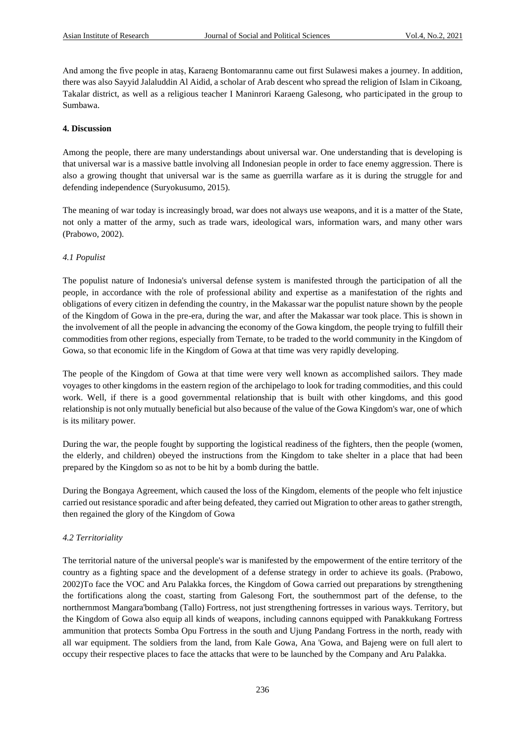And among the five people in ataş, Karaeng Bontomarannu came out first Sulawesi makes a journey. In addition, there was also Sayyid Jalaluddin Al Aidid, a scholar of Arab descent who spread the religion of Islam in Cikoang, Takalar district, as well as a religious teacher I Maninrori Karaeng Galesong, who participated in the group to Sumbawa.

#### **4. Discussion**

Among the people, there are many understandings about universal war. One understanding that is developing is that universal war is a massive battle involving all Indonesian people in order to face enemy aggression. There is also a growing thought that universal war is the same as guerrilla warfare as it is during the struggle for and defending independence (Suryokusumo, 2015).

The meaning of war today is increasingly broad, war does not always use weapons, and it is a matter of the State, not only a matter of the army, such as trade wars, ideological wars, information wars, and many other wars (Prabowo, 2002).

#### *4.1 Populist*

The populist nature of Indonesia's universal defense system is manifested through the participation of all the people, in accordance with the role of professional ability and expertise as a manifestation of the rights and obligations of every citizen in defending the country, in the Makassar war the populist nature shown by the people of the Kingdom of Gowa in the pre-era, during the war, and after the Makassar war took place. This is shown in the involvement of all the people in advancing the economy of the Gowa kingdom, the people trying to fulfill their commodities from other regions, especially from Ternate, to be traded to the world community in the Kingdom of Gowa, so that economic life in the Kingdom of Gowa at that time was very rapidly developing.

The people of the Kingdom of Gowa at that time were very well known as accomplished sailors. They made voyages to other kingdoms in the eastern region of the archipelago to look for trading commodities, and this could work. Well, if there is a good governmental relationship that is built with other kingdoms, and this good relationship is not only mutually beneficial but also because of the value of the Gowa Kingdom's war, one of which is its military power.

During the war, the people fought by supporting the logistical readiness of the fighters, then the people (women, the elderly, and children) obeyed the instructions from the Kingdom to take shelter in a place that had been prepared by the Kingdom so as not to be hit by a bomb during the battle.

During the Bongaya Agreement, which caused the loss of the Kingdom, elements of the people who felt injustice carried out resistance sporadic and after being defeated, they carried out Migration to other areas to gather strength, then regained the glory of the Kingdom of Gowa

# *4.2 Territoriality*

The territorial nature of the universal people's war is manifested by the empowerment of the entire territory of the country as a fighting space and the development of a defense strategy in order to achieve its goals. (Prabowo, 2002)To face the VOC and Aru Palakka forces, the Kingdom of Gowa carried out preparations by strengthening the fortifications along the coast, starting from Galesong Fort, the southernmost part of the defense, to the northernmost Mangara'bombang (Tallo) Fortress, not just strengthening fortresses in various ways. Territory, but the Kingdom of Gowa also equip all kinds of weapons, including cannons equipped with Panakkukang Fortress ammunition that protects Somba Opu Fortress in the south and Ujung Pandang Fortress in the north, ready with all war equipment. The soldiers from the land, from Kale Gowa, Ana 'Gowa, and Bajeng were on full alert to occupy their respective places to face the attacks that were to be launched by the Company and Aru Palakka.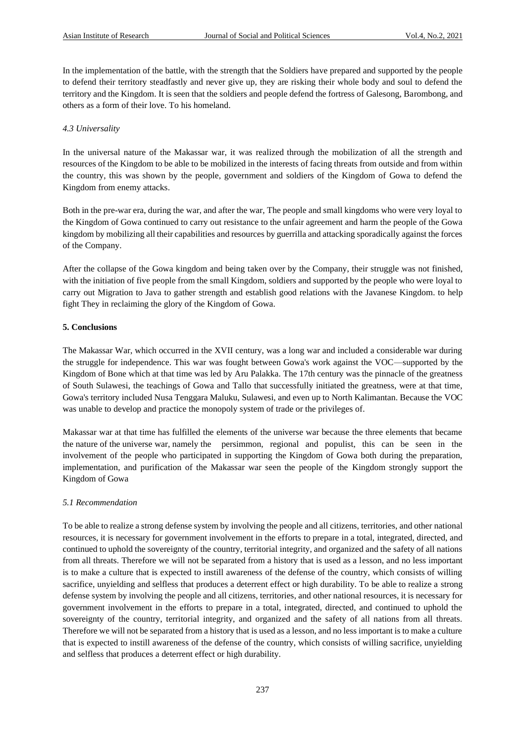In the implementation of the battle, with the strength that the Soldiers have prepared and supported by the people to defend their territory steadfastly and never give up, they are risking their whole body and soul to defend the territory and the Kingdom. It is seen that the soldiers and people defend the fortress of Galesong, Barombong, and others as a form of their love. To his homeland.

#### *4.3 Universality*

In the universal nature of the Makassar war, it was realized through the mobilization of all the strength and resources of the Kingdom to be able to be mobilized in the interests of facing threats from outside and from within the country, this was shown by the people, government and soldiers of the Kingdom of Gowa to defend the Kingdom from enemy attacks.

Both in the pre-war era, during the war, and after the war, The people and small kingdoms who were very loyal to the Kingdom of Gowa continued to carry out resistance to the unfair agreement and harm the people of the Gowa kingdom by mobilizing all their capabilities and resources by guerrilla and attacking sporadically against the forces of the Company.

After the collapse of the Gowa kingdom and being taken over by the Company, their struggle was not finished, with the initiation of five people from the small Kingdom, soldiers and supported by the people who were loyal to carry out Migration to Java to gather strength and establish good relations with the Javanese Kingdom. to help fight They in reclaiming the glory of the Kingdom of Gowa.

#### **5. Conclusions**

The Makassar War, which occurred in the XVII century, was a long war and included a considerable war during the struggle for independence. This war was fought between Gowa's work against the VOC—supported by the Kingdom of Bone which at that time was led by Aru Palakka. The 17th century was the pinnacle of the greatness of South Sulawesi, the teachings of Gowa and Tallo that successfully initiated the greatness, were at that time, Gowa's territory included Nusa Tenggara Maluku, Sulawesi, and even up to North Kalimantan. Because the VOC was unable to develop and practice the monopoly system of trade or the privileges of.

Makassar war at that time has fulfilled the elements of the universe war because the three elements that became the nature of the universe war, namely the persimmon, regional and populist, this can be seen in the involvement of the people who participated in supporting the Kingdom of Gowa both during the preparation, implementation, and purification of the Makassar war seen the people of the Kingdom strongly support the Kingdom of Gowa

# *5.1 Recommendation*

To be able to realize a strong defense system by involving the people and all citizens, territories, and other national resources, it is necessary for government involvement in the efforts to prepare in a total, integrated, directed, and continued to uphold the sovereignty of the country, territorial integrity, and organized and the safety of all nations from all threats. Therefore we will not be separated from a history that is used as a lesson, and no less important is to make a culture that is expected to instill awareness of the defense of the country, which consists of willing sacrifice, unyielding and selfless that produces a deterrent effect or high durability. To be able to realize a strong defense system by involving the people and all citizens, territories, and other national resources, it is necessary for government involvement in the efforts to prepare in a total, integrated, directed, and continued to uphold the sovereignty of the country, territorial integrity, and organized and the safety of all nations from all threats. Therefore we will not be separated from a history that is used as a lesson, and no less important is to make a culture that is expected to instill awareness of the defense of the country, which consists of willing sacrifice, unyielding and selfless that produces a deterrent effect or high durability.